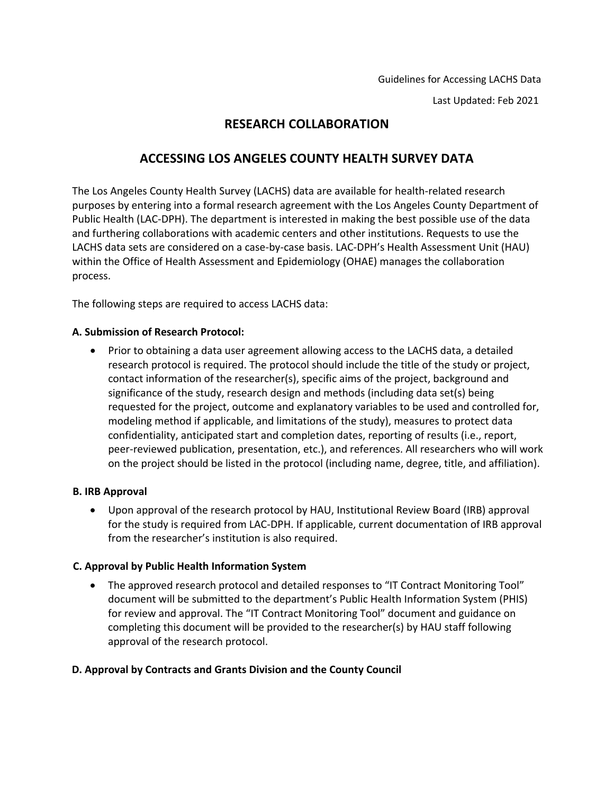Last Updated: Feb 2021

# **RESEARCH COLLABORATION**

## **ACCESSING LOS ANGELES COUNTY HEALTH SURVEY DATA**

The Los Angeles County Health Survey (LACHS) data are available for health‐related research purposes by entering into a formal research agreement with the Los Angeles County Department of Public Health (LAC‐DPH). The department is interested in making the best possible use of the data and furthering collaborations with academic centers and other institutions. Requests to use the LACHS data sets are considered on a case-by-case basis. LAC-DPH's Health Assessment Unit (HAU) within the Office of Health Assessment and Epidemiology (OHAE) manages the collaboration process.

The following steps are required to access LACHS data:

### **A. Submission of Research Protocol:**

• Prior to obtaining a data user agreement allowing access to the LACHS data, a detailed research protocol is required. The protocol should include the title of the study or project, contact information of the researcher(s), specific aims of the project, background and significance of the study, research design and methods (including data set(s) being requested for the project, outcome and explanatory variables to be used and controlled for, modeling method if applicable, and limitations of the study), measures to protect data confidentiality, anticipated start and completion dates, reporting of results (i.e., report, peer-reviewed publication, presentation, etc.), and references. All researchers who will work on the project should be listed in the protocol (including name, degree, title, and affiliation).

### **B. IRB Approval**

• Upon approval of the research protocol by HAU, Institutional Review Board (IRB) approval for the study is required from LAC‐DPH. If applicable, current documentation of IRB approval from the researcher's institution is also required.

### **C. Approval by Public Health Information System**

• The approved research protocol and detailed responses to "IT Contract Monitoring Tool" document will be submitted to the department's Public Health Information System (PHIS) for review and approval. The "IT Contract Monitoring Tool" document and guidance on completing this document will be provided to the researcher(s) by HAU staff following approval of the research protocol.

### **D. Approval by Contracts and Grants Division and the County Council**